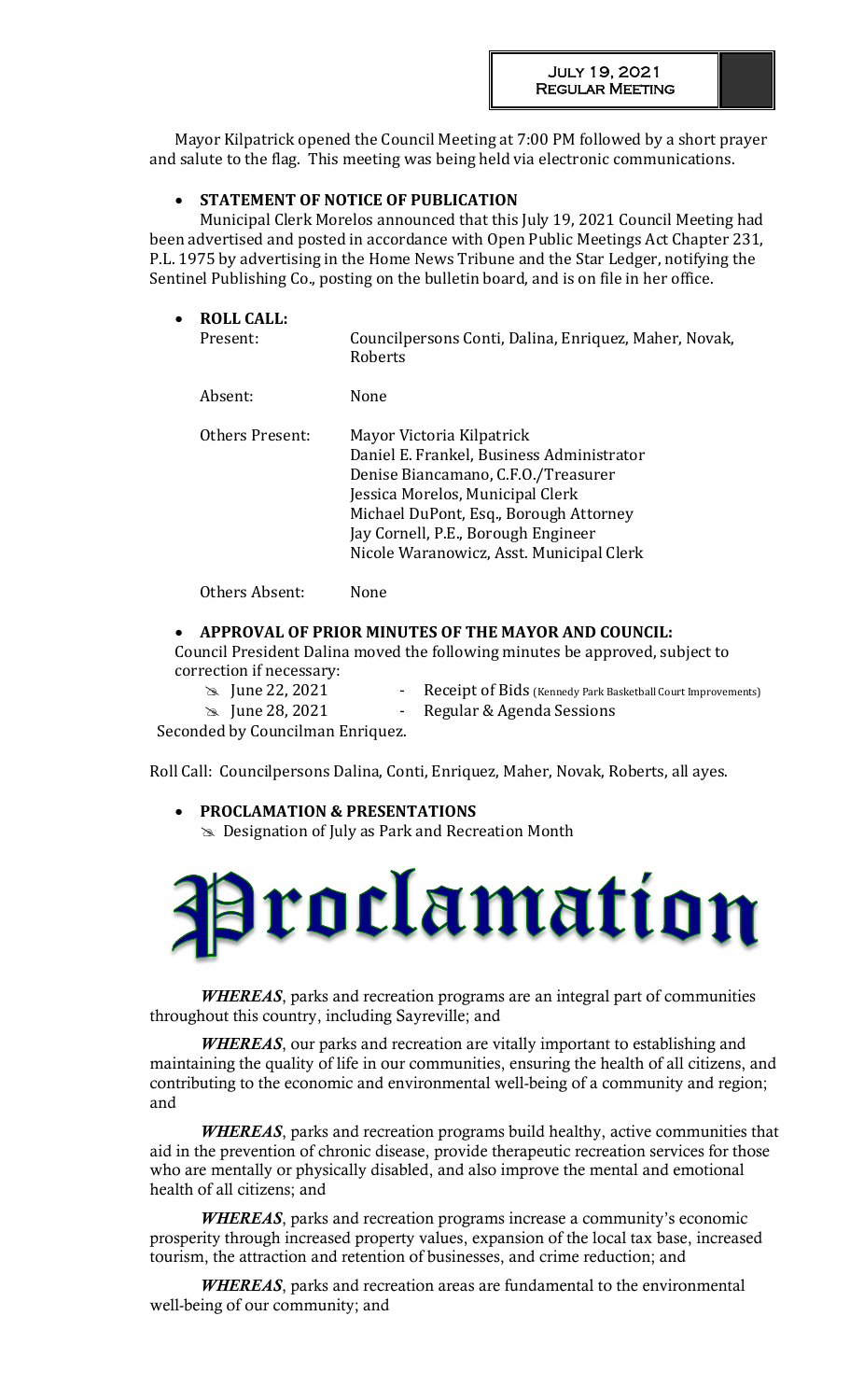Mayor Kilpatrick opened the Council Meeting at 7:00 PM followed by a short prayer and salute to the flag. This meeting was being held via electronic communications.

# **STATEMENT OF NOTICE OF PUBLICATION**

Municipal Clerk Morelos announced that this July 19, 2021 Council Meeting had been advertised and posted in accordance with Open Public Meetings Act Chapter 231, P.L. 1975 by advertising in the Home News Tribune and the Star Ledger, notifying the Sentinel Publishing Co., posting on the bulletin board, and is on file in her office.

| $\bullet$ | <b>ROLL CALL:</b><br>Present: | Councilpersons Conti, Dalina, Enriquez, Maher, Novak,<br>Roberts                                                                                                                                                                                                               |
|-----------|-------------------------------|--------------------------------------------------------------------------------------------------------------------------------------------------------------------------------------------------------------------------------------------------------------------------------|
|           | Absent:                       | None                                                                                                                                                                                                                                                                           |
|           | Others Present:               | Mayor Victoria Kilpatrick<br>Daniel E. Frankel, Business Administrator<br>Denise Biancamano, C.F.O./Treasurer<br>Jessica Morelos, Municipal Clerk<br>Michael DuPont, Esq., Borough Attorney<br>Jay Cornell, P.E., Borough Engineer<br>Nicole Waranowicz, Asst. Municipal Clerk |
|           | Others Absent:                | None                                                                                                                                                                                                                                                                           |

# **APPROVAL OF PRIOR MINUTES OF THE MAYOR AND COUNCIL:**

Council President Dalina moved the following minutes be approved, subject to correction if necessary:

 $\geq$  June 22, 2021 - Receipt of Bids (Kennedy Park Basketball Court Improvements)

June 28, 2021 - Regular & Agenda Sessions

Seconded by Councilman Enriquez.

Roll Call: Councilpersons Dalina, Conti, Enriquez, Maher, Novak, Roberts, all ayes.

 **PROCLAMATION & PRESENTATIONS**  Designation of July as Park and Recreation Month



*WHEREAS*, parks and recreation programs are an integral part of communities throughout this country, including Sayreville; and

*WHEREAS*, our parks and recreation are vitally important to establishing and maintaining the quality of life in our communities, ensuring the health of all citizens, and contributing to the economic and environmental well-being of a community and region; and

*WHEREAS*, parks and recreation programs build healthy, active communities that aid in the prevention of chronic disease, provide therapeutic recreation services for those who are mentally or physically disabled, and also improve the mental and emotional health of all citizens; and

*WHEREAS*, parks and recreation programs increase a community's economic prosperity through increased property values, expansion of the local tax base, increased tourism, the attraction and retention of businesses, and crime reduction; and

*WHEREAS*, parks and recreation areas are fundamental to the environmental well-being of our community; and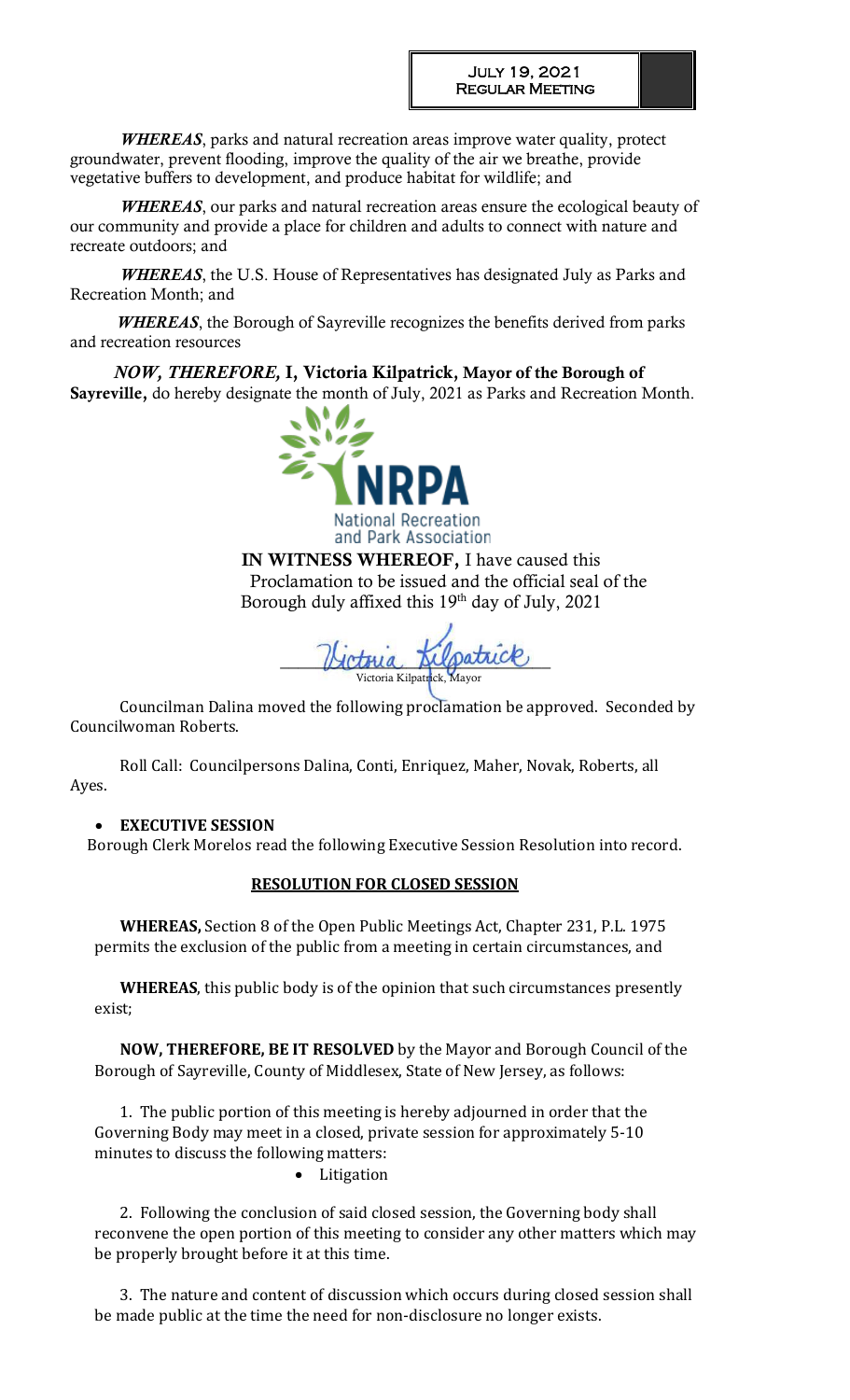*WHEREAS*, parks and natural recreation areas improve water quality, protect groundwater, prevent flooding, improve the quality of the air we breathe, provide vegetative buffers to development, and produce habitat for wildlife; and

*WHEREAS*, our parks and natural recreation areas ensure the ecological beauty of our community and provide a place for children and adults to connect with nature and recreate outdoors; and

*WHEREAS*, the U.S. House of Representatives has designated July as Parks and Recreation Month; and

 *WHEREAS*, the Borough of Sayreville recognizes the benefits derived from parks and recreation resources

 *NOW, THEREFORE,* I, Victoria Kilpatrick, Mayor of the Borough of Sayreville, do hereby designate the month of July, 2021 as Parks and Recreation Month.



IN WITNESS WHEREOF, I have caused this Proclamation to be issued and the official seal of the Borough duly affixed this 19<sup>th</sup> day of July, 2021

Hotovia Alpatrice Victoria Kilpatrick, Mayor

Councilman Dalina moved the following proclamation be approved. Seconded by Councilwoman Roberts.

Roll Call: Councilpersons Dalina, Conti, Enriquez, Maher, Novak, Roberts, all Ayes.

# **EXECUTIVE SESSION**

Borough Clerk Morelos read the following Executive Session Resolution into record.

# **RESOLUTION FOR CLOSED SESSION**

**WHEREAS,** Section 8 of the Open Public Meetings Act, Chapter 231, P.L. 1975 permits the exclusion of the public from a meeting in certain circumstances, and

**WHEREAS**, this public body is of the opinion that such circumstances presently exist;

**NOW, THEREFORE, BE IT RESOLVED** by the Mayor and Borough Council of the Borough of Sayreville, County of Middlesex, State of New Jersey, as follows:

1. The public portion of this meeting is hereby adjourned in order that the Governing Body may meet in a closed, private session for approximately 5-10 minutes to discuss the following matters:

• Litigation

2. Following the conclusion of said closed session, the Governing body shall reconvene the open portion of this meeting to consider any other matters which may be properly brought before it at this time.

3. The nature and content of discussion which occurs during closed session shall be made public at the time the need for non-disclosure no longer exists.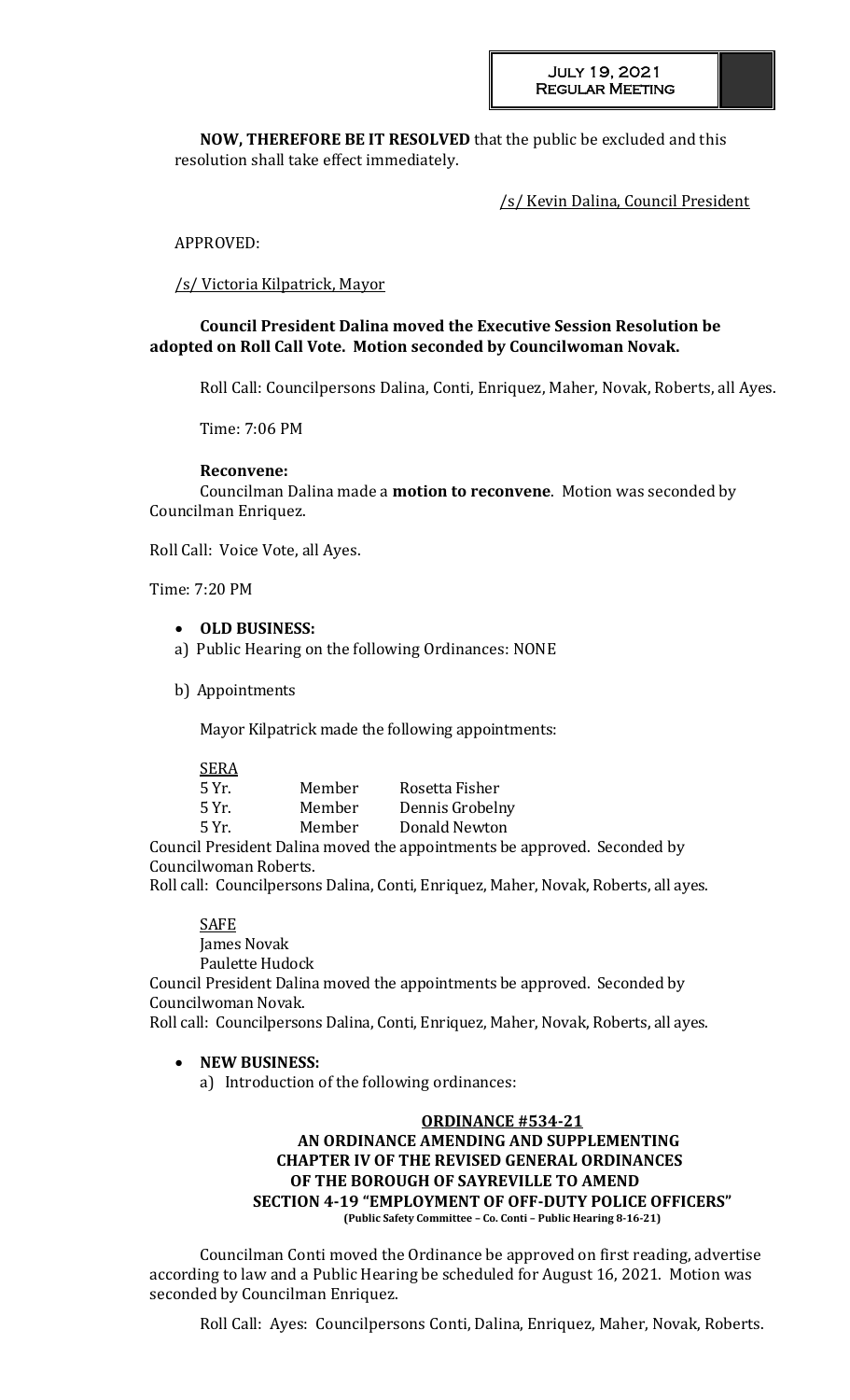**NOW, THEREFORE BE IT RESOLVED** that the public be excluded and this resolution shall take effect immediately.

/s/ Kevin Dalina, Council President

# APPROVED:

/s/ Victoria Kilpatrick, Mayor

# **Council President Dalina moved the Executive Session Resolution be adopted on Roll Call Vote. Motion seconded by Councilwoman Novak.**

Roll Call: Councilpersons Dalina, Conti, Enriquez, Maher, Novak, Roberts, all Ayes.

Time: 7:06 PM

#### **Reconvene:**

Councilman Dalina made a **motion to reconvene**. Motion was seconded by Councilman Enriquez.

Roll Call: Voice Vote, all Ayes.

Time: 7:20 PM

- **OLD BUSINESS:**
- a) Public Hearing on the following Ordinances: NONE
- b) Appointments

Mayor Kilpatrick made the following appointments:

SERA

| 5 Yr. | Member | Rosetta Fisher  |
|-------|--------|-----------------|
| 5 Yr. | Member | Dennis Grobelny |
| 5 Yr. | Member | Donald Newton   |
| .     |        |                 |

Council President Dalina moved the appointments be approved. Seconded by Councilwoman Roberts.

Roll call: Councilpersons Dalina, Conti, Enriquez, Maher, Novak, Roberts, all ayes.

**SAFE** 

James Novak

Paulette Hudock

Council President Dalina moved the appointments be approved. Seconded by Councilwoman Novak.

Roll call: Councilpersons Dalina, Conti, Enriquez, Maher, Novak, Roberts, all ayes.

# **NEW BUSINESS:**

a) Introduction of the following ordinances:

# **ORDINANCE #534-21 AN ORDINANCE AMENDING AND SUPPLEMENTING CHAPTER IV OF THE REVISED GENERAL ORDINANCES OF THE BOROUGH OF SAYREVILLE TO AMEND SECTION 4-19 "EMPLOYMENT OF OFF-DUTY POLICE OFFICERS" (Public Safety Committee – Co. Conti – Public Hearing 8-16-21)**

Councilman Conti moved the Ordinance be approved on first reading, advertise according to law and a Public Hearing be scheduled for August 16, 2021. Motion was seconded by Councilman Enriquez.

Roll Call: Ayes: Councilpersons Conti, Dalina, Enriquez, Maher, Novak, Roberts.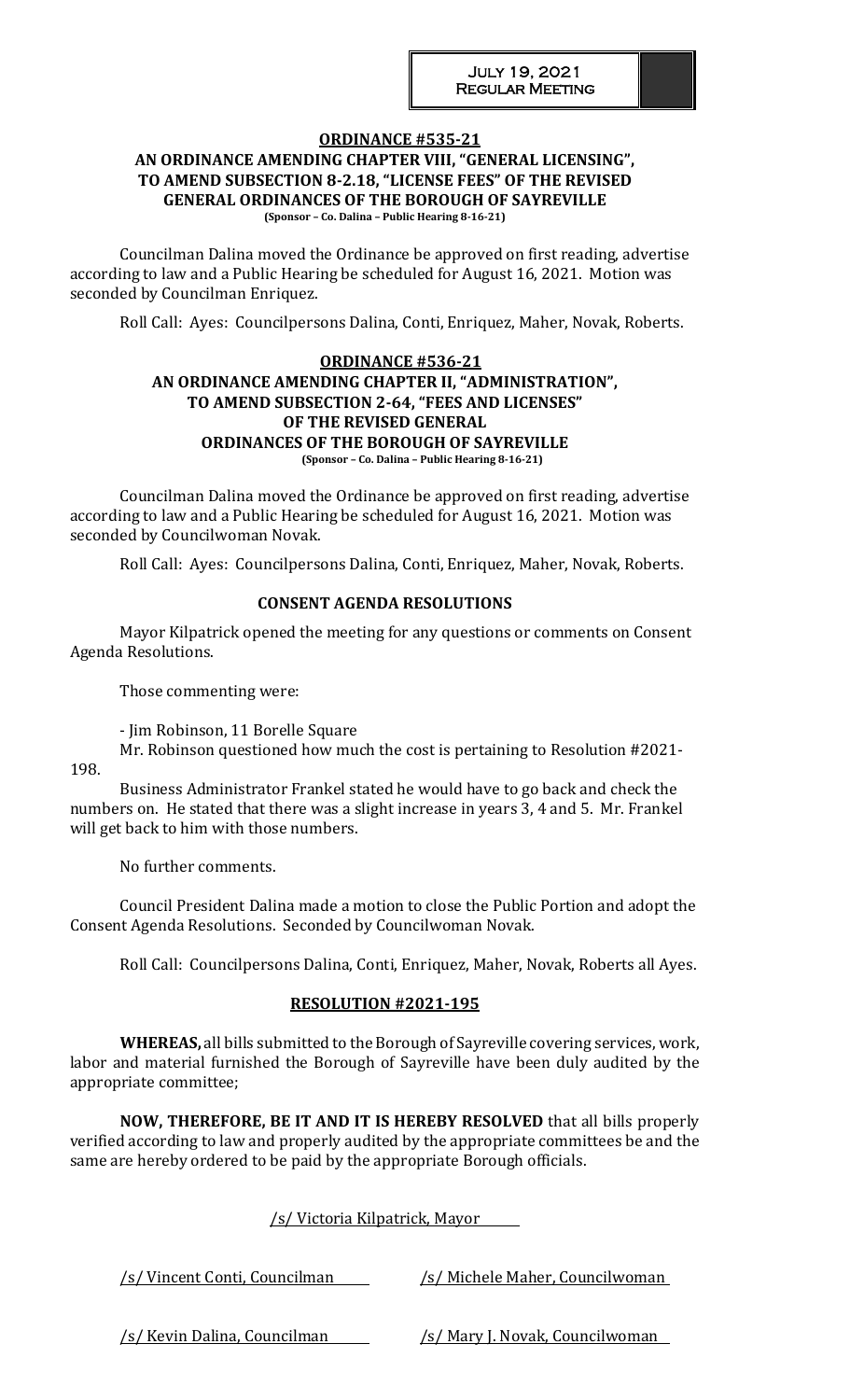# **ORDINANCE #535-21**

#### **AN ORDINANCE AMENDING CHAPTER VIII, "GENERAL LICENSING", TO AMEND SUBSECTION 8-2.18, "LICENSE FEES" OF THE REVISED GENERAL ORDINANCES OF THE BOROUGH OF SAYREVILLE (Sponsor – Co. Dalina – Public Hearing 8-16-21)**

Councilman Dalina moved the Ordinance be approved on first reading, advertise according to law and a Public Hearing be scheduled for August 16, 2021. Motion was seconded by Councilman Enriquez.

Roll Call: Ayes: Councilpersons Dalina, Conti, Enriquez, Maher, Novak, Roberts.

#### **ORDINANCE #536-21 AN ORDINANCE AMENDING CHAPTER II, "ADMINISTRATION", TO AMEND SUBSECTION 2-64, "FEES AND LICENSES" OF THE REVISED GENERAL ORDINANCES OF THE BOROUGH OF SAYREVILLE (Sponsor – Co. Dalina – Public Hearing 8-16-21)**

Councilman Dalina moved the Ordinance be approved on first reading, advertise according to law and a Public Hearing be scheduled for August 16, 2021. Motion was seconded by Councilwoman Novak.

Roll Call: Ayes: Councilpersons Dalina, Conti, Enriquez, Maher, Novak, Roberts.

# **CONSENT AGENDA RESOLUTIONS**

Mayor Kilpatrick opened the meeting for any questions or comments on Consent Agenda Resolutions.

Those commenting were:

- Jim Robinson, 11 Borelle Square

Mr. Robinson questioned how much the cost is pertaining to Resolution #2021- 198.

Business Administrator Frankel stated he would have to go back and check the numbers on. He stated that there was a slight increase in years 3, 4 and 5. Mr. Frankel will get back to him with those numbers.

No further comments.

Council President Dalina made a motion to close the Public Portion and adopt the Consent Agenda Resolutions. Seconded by Councilwoman Novak.

Roll Call: Councilpersons Dalina, Conti, Enriquez, Maher, Novak, Roberts all Ayes.

# **RESOLUTION #2021-195**

**WHEREAS,** all bills submitted to the Borough of Sayreville covering services, work, labor and material furnished the Borough of Sayreville have been duly audited by the appropriate committee;

**NOW, THEREFORE, BE IT AND IT IS HEREBY RESOLVED** that all bills properly verified according to law and properly audited by the appropriate committees be and the same are hereby ordered to be paid by the appropriate Borough officials.

| <u>/s/ Victoria Kilpatrick, Mayor</u> |                                         |
|---------------------------------------|-----------------------------------------|
| <u>/s/ Vincent Conti, Councilman_</u> | /s/ Michele Maher, Councilwoman         |
| <u>/s/ Kevin Dalina, Councilman</u>   | <u>/s/ Mary J. Novak, Councilwoman_</u> |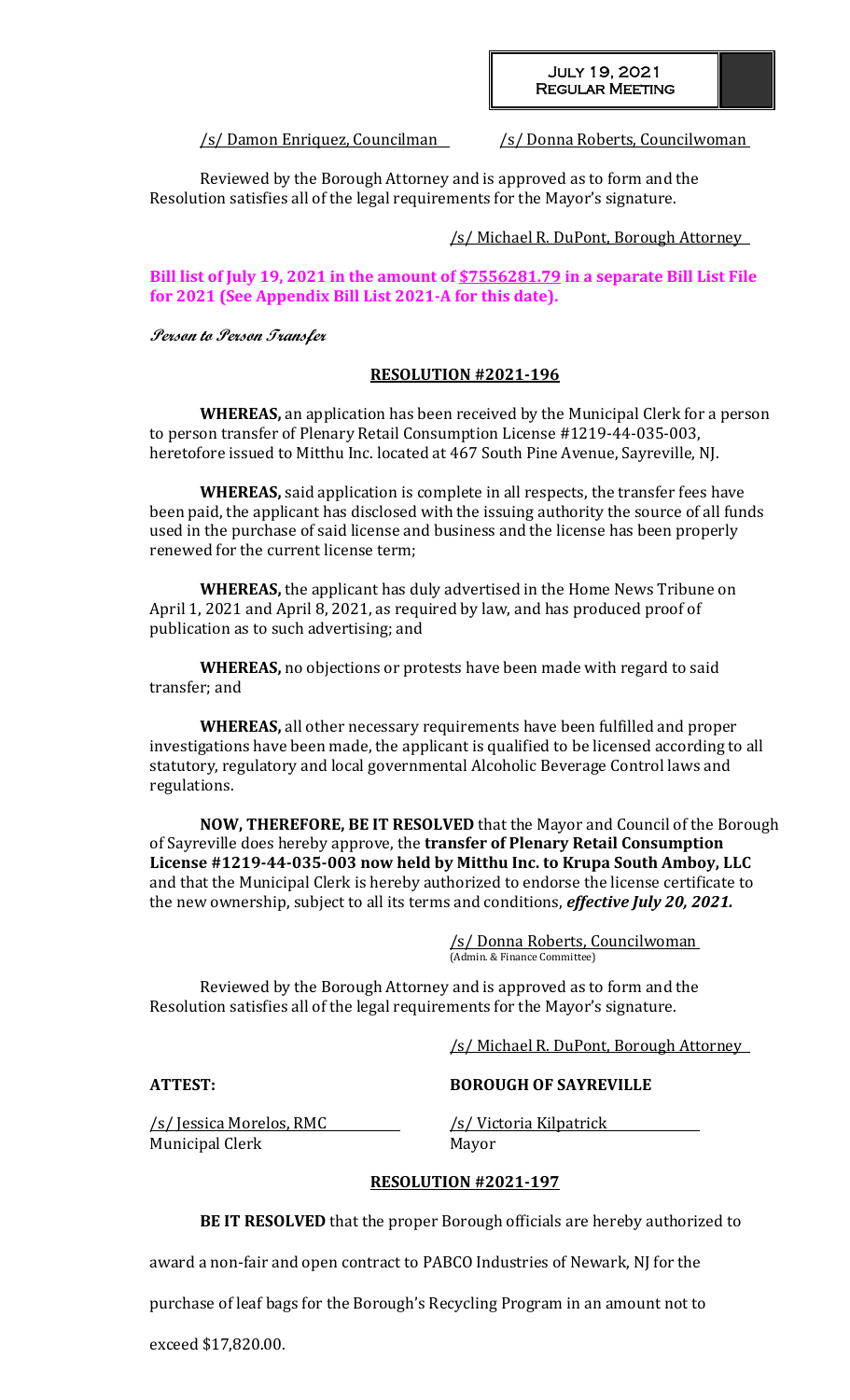#### July 19, 2021 Regular Meeting

/s/ Damon Enriquez, Councilman /s/ Donna Roberts, Councilwoman

Reviewed by the Borough Attorney and is approved as to form and the Resolution satisfies all of the legal requirements for the Mayor's signature.

/s/ Michael R. DuPont, Borough Attorney

**Bill list of July 19, 2021 in the amount of \$7556281.79 in a separate Bill List File for 2021 (See Appendix Bill List 2021-A for this date).**

**Person to Person Transfer**

# **RESOLUTION #2021-196**

**WHEREAS,** an application has been received by the Municipal Clerk for a person to person transfer of Plenary Retail Consumption License #1219-44-035-003, heretofore issued to Mitthu Inc. located at 467 South Pine Avenue, Sayreville, NJ.

**WHEREAS,** said application is complete in all respects, the transfer fees have been paid, the applicant has disclosed with the issuing authority the source of all funds used in the purchase of said license and business and the license has been properly renewed for the current license term;

**WHEREAS,** the applicant has duly advertised in the Home News Tribune on April 1, 2021 and April 8, 2021, as required by law, and has produced proof of publication as to such advertising; and

**WHEREAS,** no objections or protests have been made with regard to said transfer; and

**WHEREAS,** all other necessary requirements have been fulfilled and proper investigations have been made, the applicant is qualified to be licensed according to all statutory, regulatory and local governmental Alcoholic Beverage Control laws and regulations.

**NOW, THEREFORE, BE IT RESOLVED** that the Mayor and Council of the Borough of Sayreville does hereby approve, the **transfer of Plenary Retail Consumption License #1219-44-035-003 now held by Mitthu Inc. to Krupa South Amboy, LLC** and that the Municipal Clerk is hereby authorized to endorse the license certificate to the new ownership, subject to all its terms and conditions, *effective July 20, 2021.*

> /s/ Donna Roberts, Councilwoman (Admin. & Finance Committee)

Reviewed by the Borough Attorney and is approved as to form and the Resolution satisfies all of the legal requirements for the Mayor's signature.

/s/ Michael R. DuPont, Borough Attorney

**ATTEST: BOROUGH OF SAYREVILLE**

/s/ Jessica Morelos, RMC /s/ Victoria Kilpatrick Municipal Clerk Mayor

# **RESOLUTION #2021-197**

**BE IT RESOLVED** that the proper Borough officials are hereby authorized to

award a non-fair and open contract to PABCO Industries of Newark, NJ for the

purchase of leaf bags for the Borough's Recycling Program in an amount not to

exceed \$17,820.00.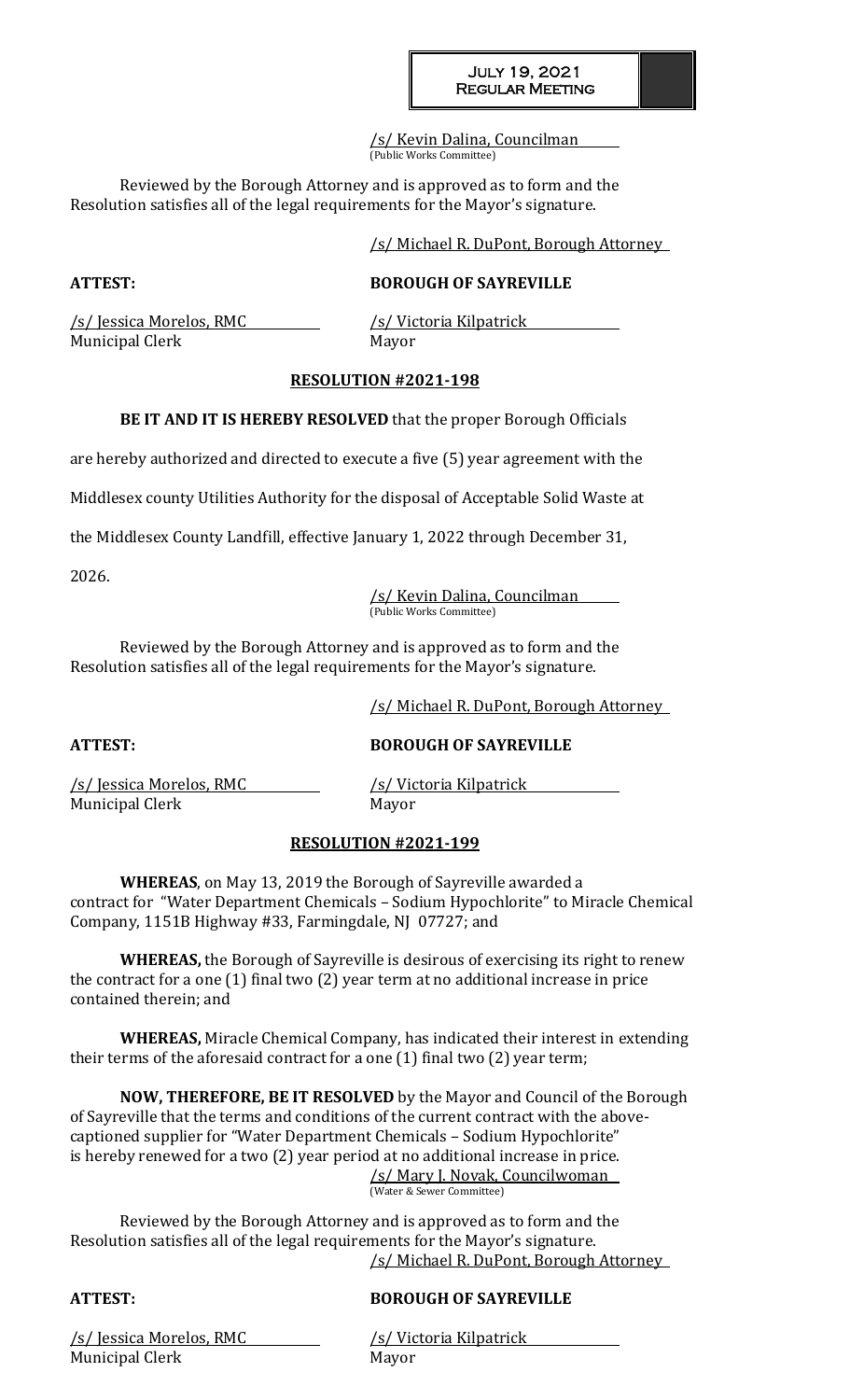/s/ Kevin Dalina, Councilman (Public Works Committee)

Reviewed by the Borough Attorney and is approved as to form and the Resolution satisfies all of the legal requirements for the Mayor's signature.

/s/ Michael R. DuPont, Borough Attorney

# **ATTEST: BOROUGH OF SAYREVILLE**

/s/ Jessica Morelos, RMC /s/ Victoria Kilpatrick Municipal Clerk Mayor

# **RESOLUTION #2021-198**

**BE IT AND IT IS HEREBY RESOLVED** that the proper Borough Officials

are hereby authorized and directed to execute a five (5) year agreement with the

Middlesex county Utilities Authority for the disposal of Acceptable Solid Waste at

the Middlesex County Landfill, effective January 1, 2022 through December 31,

2026.

/s/ Kevin Dalina, Councilman (Public Works Committee)

Reviewed by the Borough Attorney and is approved as to form and the Resolution satisfies all of the legal requirements for the Mayor's signature.

/s/ Michael R. DuPont, Borough Attorney

**ATTEST: BOROUGH OF SAYREVILLE**

/s/ Jessica Morelos, RMC /s/ Victoria Kilpatrick Municipal Clerk Mayor

# **RESOLUTION #2021-199**

**WHEREAS**, on May 13, 2019 the Borough of Sayreville awarded a contract for "Water Department Chemicals – Sodium Hypochlorite" to Miracle Chemical Company, 1151B Highway #33, Farmingdale, NJ 07727; and

**WHEREAS,** the Borough of Sayreville is desirous of exercising its right to renew the contract for a one (1) final two (2) year term at no additional increase in price contained therein; and

**WHEREAS,** Miracle Chemical Company, has indicated their interest in extending their terms of the aforesaid contract for a one (1) final two (2) year term;

**NOW, THEREFORE, BE IT RESOLVED** by the Mayor and Council of the Borough of Sayreville that the terms and conditions of the current contract with the abovecaptioned supplier for "Water Department Chemicals – Sodium Hypochlorite" is hereby renewed for a two (2) year period at no additional increase in price.

/s/ Mary J. Novak, Councilwoman (Water & Sewer Committee)

Reviewed by the Borough Attorney and is approved as to form and the Resolution satisfies all of the legal requirements for the Mayor's signature. /s/ Michael R. DuPont, Borough Attorney

# **ATTEST: BOROUGH OF SAYREVILLE**

/s/ Jessica Morelos, RMC /s/ Victoria Kilpatrick Municipal Clerk Mayor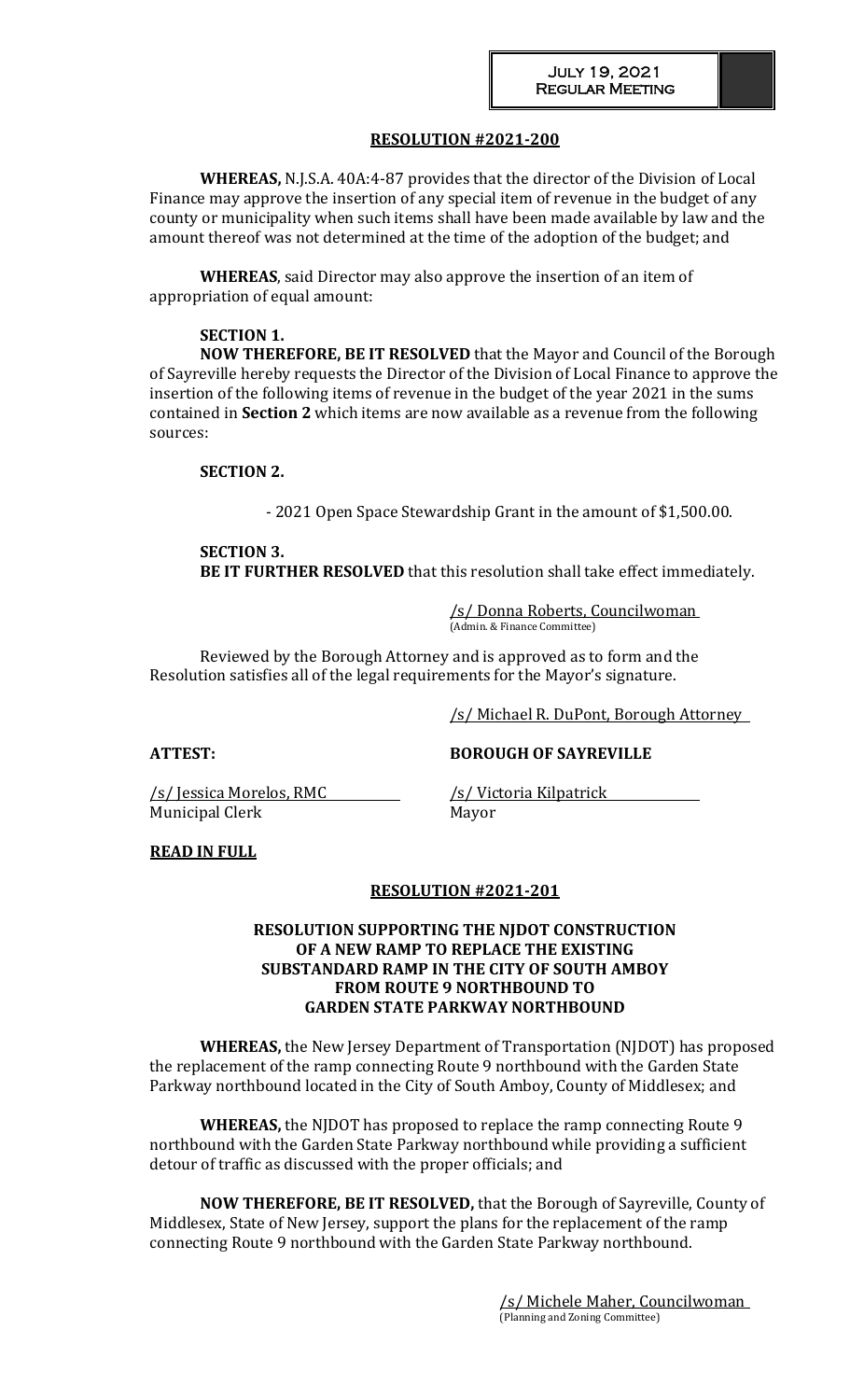# **RESOLUTION #2021-200**

**WHEREAS,** N.J.S.A. 40A:4-87 provides that the director of the Division of Local Finance may approve the insertion of any special item of revenue in the budget of any county or municipality when such items shall have been made available by law and the amount thereof was not determined at the time of the adoption of the budget; and

**WHEREAS**, said Director may also approve the insertion of an item of appropriation of equal amount:

#### **SECTION 1.**

**NOW THEREFORE, BE IT RESOLVED** that the Mayor and Council of the Borough of Sayreville hereby requests the Director of the Division of Local Finance to approve the insertion of the following items of revenue in the budget of the year 2021 in the sums contained in **Section 2** which items are now available as a revenue from the following sources:

# **SECTION 2.**

- 2021 Open Space Stewardship Grant in the amount of \$1,500.00.

# **SECTION 3.**

**BE IT FURTHER RESOLVED** that this resolution shall take effect immediately.

/s/ Donna Roberts, Councilwoman (Admin. & Finance Committee)

Reviewed by the Borough Attorney and is approved as to form and the Resolution satisfies all of the legal requirements for the Mayor's signature.

/s/ Michael R. DuPont, Borough Attorney

/s/ Jessica Morelos, RMC /s/ Victoria Kilpatrick Municipal Clerk Mayor

**ATTEST: BOROUGH OF SAYREVILLE**

# **READ IN FULL**

# **RESOLUTION #2021-201**

# **RESOLUTION SUPPORTING THE NJDOT CONSTRUCTION OF A NEW RAMP TO REPLACE THE EXISTING SUBSTANDARD RAMP IN THE CITY OF SOUTH AMBOY FROM ROUTE 9 NORTHBOUND TO GARDEN STATE PARKWAY NORTHBOUND**

**WHEREAS,** the New Jersey Department of Transportation (NJDOT) has proposed the replacement of the ramp connecting Route 9 northbound with the Garden State Parkway northbound located in the City of South Amboy, County of Middlesex; and

**WHEREAS,** the NJDOT has proposed to replace the ramp connecting Route 9 northbound with the Garden State Parkway northbound while providing a sufficient detour of traffic as discussed with the proper officials; and

**NOW THEREFORE, BE IT RESOLVED,** that the Borough of Sayreville, County of Middlesex, State of New Jersey, support the plans for the replacement of the ramp connecting Route 9 northbound with the Garden State Parkway northbound.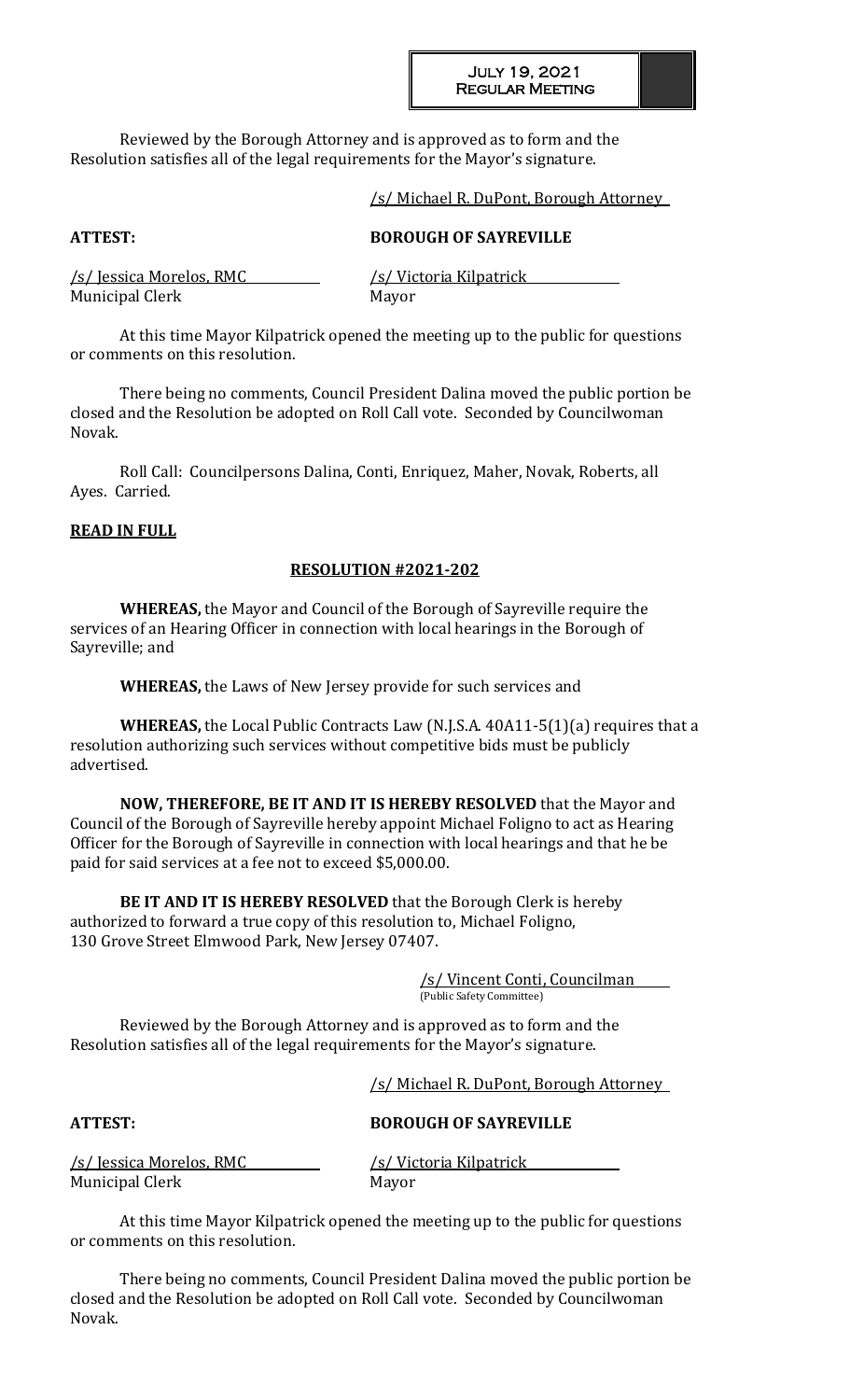Reviewed by the Borough Attorney and is approved as to form and the Resolution satisfies all of the legal requirements for the Mayor's signature.

#### /s/ Michael R. DuPont, Borough Attorney

# **ATTEST: BOROUGH OF SAYREVILLE**

|                        | /s/ Jessica Morelos, RMC |  |  |  |
|------------------------|--------------------------|--|--|--|
| <b>Municipal Clerk</b> |                          |  |  |  |

/s/ Victoria Kilpatrick Mayor

At this time Mayor Kilpatrick opened the meeting up to the public for questions or comments on this resolution.

There being no comments, Council President Dalina moved the public portion be closed and the Resolution be adopted on Roll Call vote. Seconded by Councilwoman Novak.

Roll Call: Councilpersons Dalina, Conti, Enriquez, Maher, Novak, Roberts, all Ayes. Carried.

#### **READ IN FULL**

# **RESOLUTION #2021-202**

**WHEREAS,** the Mayor and Council of the Borough of Sayreville require the services of an Hearing Officer in connection with local hearings in the Borough of Sayreville; and

**WHEREAS,** the Laws of New Jersey provide for such services and

**WHEREAS,** the Local Public Contracts Law (N.J.S.A. 40A11-5(1)(a) requires that a resolution authorizing such services without competitive bids must be publicly advertised.

**NOW, THEREFORE, BE IT AND IT IS HEREBY RESOLVED** that the Mayor and Council of the Borough of Sayreville hereby appoint Michael Foligno to act as Hearing Officer for the Borough of Sayreville in connection with local hearings and that he be paid for said services at a fee not to exceed \$5,000.00.

**BE IT AND IT IS HEREBY RESOLVED** that the Borough Clerk is hereby authorized to forward a true copy of this resolution to, Michael Foligno, 130 Grove Street Elmwood Park, New Jersey 07407.

> /s/ Vincent Conti, Councilman (Public Safety Committee)

Reviewed by the Borough Attorney and is approved as to form and the Resolution satisfies all of the legal requirements for the Mayor's signature.

/s/ Michael R. DuPont, Borough Attorney

# **ATTEST: BOROUGH OF SAYREVILLE**

/s/ Jessica Morelos, RMC /s/ Victoria Kilpatrick Municipal Clerk Mayor

At this time Mayor Kilpatrick opened the meeting up to the public for questions or comments on this resolution.

There being no comments, Council President Dalina moved the public portion be closed and the Resolution be adopted on Roll Call vote. Seconded by Councilwoman Novak.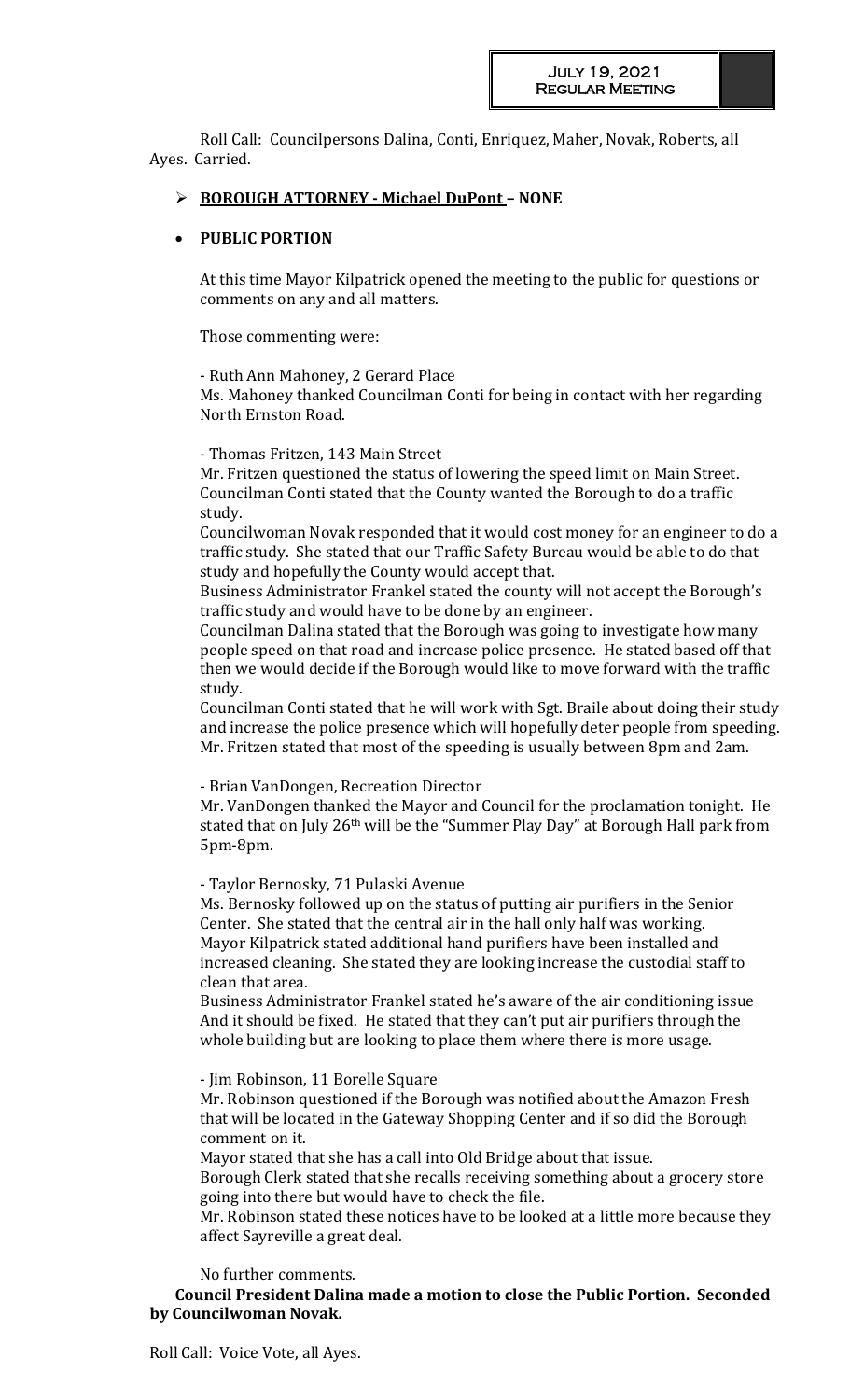Roll Call: Councilpersons Dalina, Conti, Enriquez, Maher, Novak, Roberts, all Ayes. Carried.

# **BOROUGH ATTORNEY - Michael DuPont – NONE**

# **PUBLIC PORTION**

At this time Mayor Kilpatrick opened the meeting to the public for questions or comments on any and all matters.

Those commenting were:

- Ruth Ann Mahoney, 2 Gerard Place

Ms. Mahoney thanked Councilman Conti for being in contact with her regarding North Ernston Road.

- Thomas Fritzen, 143 Main Street

Mr. Fritzen questioned the status of lowering the speed limit on Main Street. Councilman Conti stated that the County wanted the Borough to do a traffic study.

Councilwoman Novak responded that it would cost money for an engineer to do a traffic study. She stated that our Traffic Safety Bureau would be able to do that study and hopefully the County would accept that.

Business Administrator Frankel stated the county will not accept the Borough's traffic study and would have to be done by an engineer.

Councilman Dalina stated that the Borough was going to investigate how many people speed on that road and increase police presence. He stated based off that then we would decide if the Borough would like to move forward with the traffic study.

Councilman Conti stated that he will work with Sgt. Braile about doing their study and increase the police presence which will hopefully deter people from speeding. Mr. Fritzen stated that most of the speeding is usually between 8pm and 2am.

- Brian VanDongen, Recreation Director

Mr. VanDongen thanked the Mayor and Council for the proclamation tonight. He stated that on July 26<sup>th</sup> will be the "Summer Play Day" at Borough Hall park from 5pm-8pm.

- Taylor Bernosky, 71 Pulaski Avenue

Ms. Bernosky followed up on the status of putting air purifiers in the Senior Center. She stated that the central air in the hall only half was working. Mayor Kilpatrick stated additional hand purifiers have been installed and increased cleaning. She stated they are looking increase the custodial staff to clean that area.

Business Administrator Frankel stated he's aware of the air conditioning issue And it should be fixed. He stated that they can't put air purifiers through the whole building but are looking to place them where there is more usage.

- Jim Robinson, 11 Borelle Square

Mr. Robinson questioned if the Borough was notified about the Amazon Fresh that will be located in the Gateway Shopping Center and if so did the Borough comment on it.

Mayor stated that she has a call into Old Bridge about that issue.

Borough Clerk stated that she recalls receiving something about a grocery store going into there but would have to check the file.

Mr. Robinson stated these notices have to be looked at a little more because they affect Sayreville a great deal.

No further comments.

**Council President Dalina made a motion to close the Public Portion. Seconded by Councilwoman Novak.**